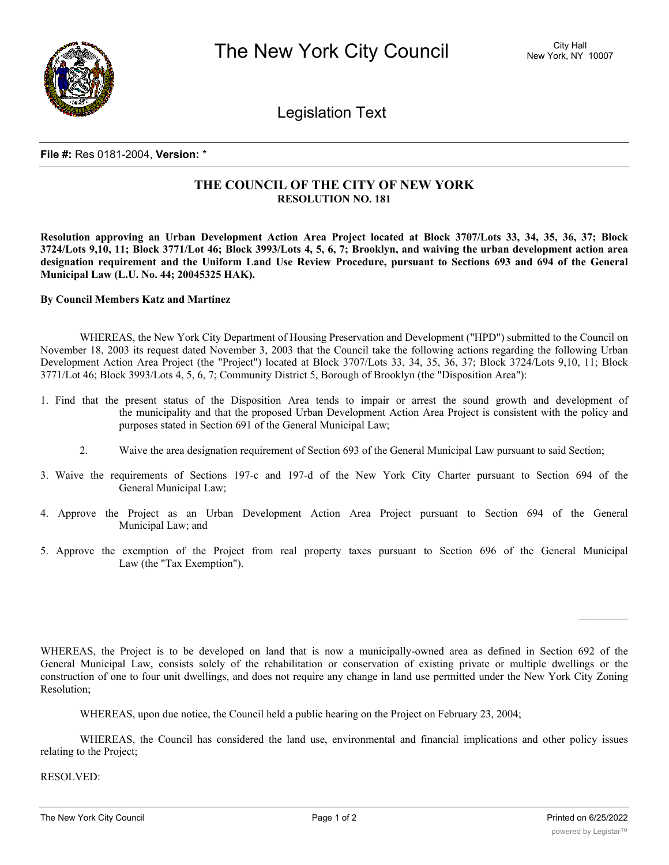

Legislation Text

## **File #:** Res 0181-2004, **Version:** \*

## **THE COUNCIL OF THE CITY OF NEW YORK RESOLUTION NO. 181**

Resolution approving an Urban Development Action Area Project located at Block 3707/Lots 33, 34, 35, 36, 37; Block 3724/Lots 9,10, 11; Block 3771/Lot 46; Block 3993/Lots 4, 5, 6, 7; Brooklyn, and waiving the urban development action area designation requirement and the Uniform Land Use Review Procedure, pursuant to Sections 693 and 694 of the General **Municipal Law (L.U. No. 44; 20045325 HAK).**

## **By Council Members Katz and Martinez**

WHEREAS, the New York City Department of Housing Preservation and Development ("HPD") submitted to the Council on November 18, 2003 its request dated November 3, 2003 that the Council take the following actions regarding the following Urban Development Action Area Project (the "Project") located at Block 3707/Lots 33, 34, 35, 36, 37; Block 3724/Lots 9,10, 11; Block 3771/Lot 46; Block 3993/Lots 4, 5, 6, 7; Community District 5, Borough of Brooklyn (the "Disposition Area"):

- 1. Find that the present status of the Disposition Area tends to impair or arrest the sound growth and development of the municipality and that the proposed Urban Development Action Area Project is consistent with the policy and purposes stated in Section 691 of the General Municipal Law;
	- 2. Waive the area designation requirement of Section 693 of the General Municipal Law pursuant to said Section;
- 3. Waive the requirements of Sections 197-c and 197-d of the New York City Charter pursuant to Section 694 of the General Municipal Law;
- 4. Approve the Project as an Urban Development Action Area Project pursuant to Section 694 of the General Municipal Law; and
- 5. Approve the exemption of the Project from real property taxes pursuant to Section 696 of the General Municipal Law (the "Tax Exemption").

WHEREAS, the Project is to be developed on land that is now a municipally-owned area as defined in Section 692 of the General Municipal Law, consists solely of the rehabilitation or conservation of existing private or multiple dwellings or the construction of one to four unit dwellings, and does not require any change in land use permitted under the New York City Zoning Resolution;

WHEREAS, upon due notice, the Council held a public hearing on the Project on February 23, 2004;

WHEREAS, the Council has considered the land use, environmental and financial implications and other policy issues relating to the Project;

RESOLVED: